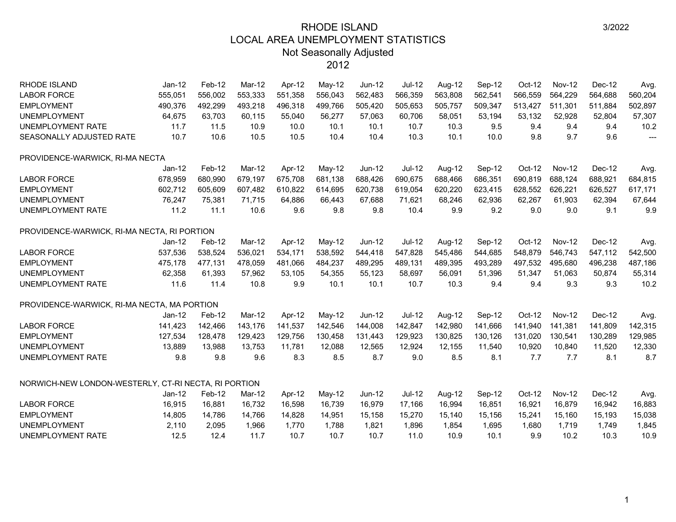| <b>RHODE ISLAND</b>                                  | $Jan-12$ | Feb-12  | Mar-12  | Apr-12  | May-12  | <b>Jun-12</b> | Jul-12   | Aug-12  | Sep-12  | Oct-12  | <b>Nov-12</b> | Dec-12  | Avg     |
|------------------------------------------------------|----------|---------|---------|---------|---------|---------------|----------|---------|---------|---------|---------------|---------|---------|
| <b>LABOR FORCE</b>                                   | 555,051  | 556,002 | 553,333 | 551,358 | 556,043 | 562,483       | 566,359  | 563,808 | 562,541 | 566,559 | 564,229       | 564,688 | 560,204 |
| <b>EMPLOYMENT</b>                                    | 490,376  | 492,299 | 493,218 | 496,318 | 499,766 | 505,420       | 505,653  | 505,757 | 509,347 | 513,427 | 511,301       | 511,884 | 502,897 |
| <b>UNEMPLOYMENT</b>                                  | 64,675   | 63,703  | 60,115  | 55,040  | 56,277  | 57,063        | 60,706   | 58,051  | 53,194  | 53,132  | 52,928        | 52,804  | 57,307  |
| UNEMPLOYMENT RATE                                    | 11.7     | 11.5    | 10.9    | 10.0    | 10.1    | 10.1          | 10.7     | 10.3    | 9.5     | 9.4     | 9.4           | 9.4     | 10.2    |
| SEASONALLY ADJUSTED RATE                             | 10.7     | 10.6    | 10.5    | 10.5    | 10.4    | 10.4          | 10.3     | 10.1    | 10.0    | 9.8     | 9.7           | 9.6     | ---     |
| PROVIDENCE-WARWICK, RI-MA NECTA                      |          |         |         |         |         |               |          |         |         |         |               |         |         |
|                                                      | $Jan-12$ | Feb-12  | Mar-12  | Apr-12  | May-12  | $Jun-12$      | Jul-12   | Aug-12  | Sep-12  | Oct-12  | <b>Nov-12</b> | Dec-12  | Avg.    |
| <b>LABOR FORCE</b>                                   | 678,959  | 680,990 | 679,197 | 675,708 | 681,138 | 688,426       | 690,675  | 688,466 | 686,351 | 690,819 | 688,124       | 688,921 | 684,815 |
| <b>EMPLOYMENT</b>                                    | 602,712  | 605,609 | 607,482 | 610,822 | 614,695 | 620,738       | 619,054  | 620,220 | 623,415 | 628,552 | 626,221       | 626,527 | 617,171 |
| <b>UNEMPLOYMENT</b>                                  | 76,247   | 75,381  | 71,715  | 64,886  | 66,443  | 67,688        | 71,621   | 68,246  | 62,936  | 62,267  | 61,903        | 62,394  | 67,644  |
| UNEMPLOYMENT RATE                                    | 11.2     | 11.1    | 10.6    | 9.6     | 9.8     | 9.8           | 10.4     | 9.9     | 9.2     | 9.0     | 9.0           | 9.1     | 9.9     |
| PROVIDENCE-WARWICK, RI-MA NECTA, RI PORTION          |          |         |         |         |         |               |          |         |         |         |               |         |         |
|                                                      | Jan-12   | Feb-12  | Mar-12  | Apr-12  | May-12  | Jun-12        | Jul-12   | Aug-12  | Sep-12  | Oct-12  | <b>Nov-12</b> | Dec-12  | Avg.    |
| <b>LABOR FORCE</b>                                   | 537,536  | 538,524 | 536,021 | 534,171 | 538,592 | 544,418       | 547,828  | 545,486 | 544,685 | 548,879 | 546,743       | 547,112 | 542,500 |
| <b>EMPLOYMENT</b>                                    | 475,178  | 477,131 | 478,059 | 481,066 | 484,237 | 489,295       | 489,131  | 489,395 | 493,289 | 497,532 | 495,680       | 496,238 | 487,186 |
| <b>UNEMPLOYMENT</b>                                  | 62,358   | 61,393  | 57,962  | 53,105  | 54,355  | 55,123        | 58,697   | 56,091  | 51,396  | 51,347  | 51,063        | 50,874  | 55,314  |
| UNEMPLOYMENT RATE                                    | 11.6     | 11.4    | 10.8    | 9.9     | 10.1    | 10.1          | 10.7     | 10.3    | 9.4     | 9.4     | 9.3           | 9.3     | 10.2    |
| PROVIDENCE-WARWICK, RI-MA NECTA, MA PORTION          |          |         |         |         |         |               |          |         |         |         |               |         |         |
|                                                      | $Jan-12$ | Feb-12  | Mar-12  | Apr-12  | May-12  | <b>Jun-12</b> | $Jul-12$ | Aug-12  | Sep-12  | Oct-12  | <b>Nov-12</b> | Dec-12  | Avg.    |
| <b>LABOR FORCE</b>                                   | 141,423  | 142,466 | 143,176 | 141,537 | 142,546 | 144,008       | 142,847  | 142,980 | 141,666 | 141,940 | 141,381       | 141,809 | 142,315 |
| <b>EMPLOYMENT</b>                                    | 127,534  | 128,478 | 129,423 | 129,756 | 130,458 | 131,443       | 129,923  | 130,825 | 130,126 | 131,020 | 130,541       | 130,289 | 129,985 |
| <b>UNEMPLOYMENT</b>                                  | 13,889   | 13,988  | 13,753  | 11,781  | 12,088  | 12,565        | 12,924   | 12,155  | 11,540  | 10,920  | 10,840        | 11,520  | 12,330  |
| UNEMPLOYMENT RATE                                    | 9.8      | 9.8     | 9.6     | 8.3     | 8.5     | 8.7           | 9.0      | 8.5     | 8.1     | 7.7     | 7.7           | 8.1     | 8.7     |
| NORWICH-NEW LONDON-WESTERLY, CT-RI NECTA, RI PORTION |          |         |         |         |         |               |          |         |         |         |               |         |         |
|                                                      | $Jan-12$ | Feb-12  | Mar-12  | Apr-12  | May-12  | Jun-12        | Jul-12   | Aug-12  | Sep-12  | Oct-12  | <b>Nov-12</b> | Dec-12  | Avg.    |
| <b>LABOR FORCE</b>                                   | 16,915   | 16,881  | 16,732  | 16,598  | 16,739  | 16,979        | 17,166   | 16,994  | 16,851  | 16,921  | 16,879        | 16,942  | 16,883  |
| <b>EMPLOYMENT</b>                                    | 14,805   | 14,786  | 14,766  | 14,828  | 14,951  | 15,158        | 15,270   | 15,140  | 15,156  | 15,241  | 15,160        | 15,193  | 15,038  |
| <b>UNEMPLOYMENT</b>                                  | 2,110    | 2,095   | 1,966   | 1,770   | 1,788   | 1,821         | 1,896    | 1,854   | 1,695   | 1,680   | 1,719         | 1,749   | 1,845   |
| <b>UNEMPLOYMENT RATE</b>                             | 12.5     | 12.4    | 11.7    | 10.7    | 10.7    | 10.7          | 11.0     | 10.9    | 10.1    | 9.9     | 10.2          | 10.3    | 10.9    |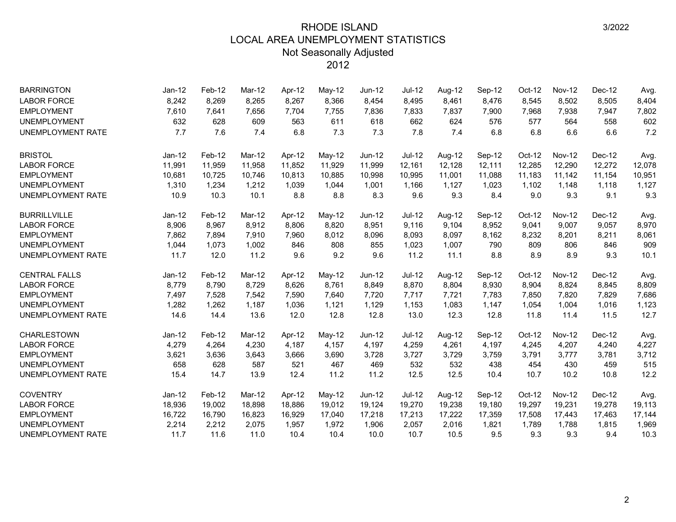| <b>BARRINGTON</b>        | Jan-12   | Feb-12 | Mar-12 | Apr-12 | May-12   | Jun-12 | Jul-12   | Aug-12 | Sep-12 | $Oct-12$ | <b>Nov-12</b> | Dec-12 | Avg.   |
|--------------------------|----------|--------|--------|--------|----------|--------|----------|--------|--------|----------|---------------|--------|--------|
| <b>LABOR FORCE</b>       | 8,242    | 8,269  | 8,265  | 8,267  | 8,366    | 8,454  | 8,495    | 8,461  | 8,476  | 8,545    | 8,502         | 8,505  | 8,404  |
| <b>EMPLOYMENT</b>        | 7,610    | 7,641  | 7,656  | 7,704  | 7,755    | 7,836  | 7,833    | 7,837  | 7,900  | 7,968    | 7,938         | 7,947  | 7,802  |
| <b>UNEMPLOYMENT</b>      | 632      | 628    | 609    | 563    | 611      | 618    | 662      | 624    | 576    | 577      | 564           | 558    | 602    |
| UNEMPLOYMENT RATE        | 7.7      | 7.6    | 7.4    | 6.8    | 7.3      | 7.3    | 7.8      | 7.4    | 6.8    | 6.8      | 6.6           | 6.6    | 7.2    |
| <b>BRISTOL</b>           | $Jan-12$ | Feb-12 | Mar-12 | Apr-12 | $May-12$ | Jun-12 | $Jul-12$ | Aug-12 | Sep-12 | Oct-12   | <b>Nov-12</b> | Dec-12 | Avg.   |
| <b>LABOR FORCE</b>       | 11,991   | 11,959 | 11,958 | 11,852 | 11,929   | 11,999 | 12,161   | 12,128 | 12,111 | 12,285   | 12,290        | 12,272 | 12,078 |
| <b>EMPLOYMENT</b>        | 10,681   | 10,725 | 10,746 | 10,813 | 10,885   | 10,998 | 10,995   | 11,001 | 11,088 | 11,183   | 11,142        | 11,154 | 10,951 |
| <b>UNEMPLOYMENT</b>      | 1,310    | 1,234  | 1,212  | 1,039  | 1,044    | 1,001  | 1,166    | 1,127  | 1,023  | 1,102    | 1,148         | 1,118  | 1,127  |
| <b>UNEMPLOYMENT RATE</b> | 10.9     | 10.3   | 10.1   | 8.8    | 8.8      | 8.3    | 9.6      | 9.3    | 8.4    | 9.0      | 9.3           | 9.1    | 9.3    |
| <b>BURRILLVILLE</b>      | Jan-12   | Feb-12 | Mar-12 | Apr-12 | $May-12$ | Jun-12 | $Jul-12$ | Aug-12 | Sep-12 | Oct-12   | <b>Nov-12</b> | Dec-12 | Avg.   |
| <b>LABOR FORCE</b>       | 8,906    | 8,967  | 8,912  | 8,806  | 8,820    | 8,951  | 9,116    | 9,104  | 8,952  | 9,041    | 9,007         | 9,057  | 8,970  |
| <b>EMPLOYMENT</b>        | 7,862    | 7,894  | 7,910  | 7,960  | 8,012    | 8,096  | 8,093    | 8,097  | 8,162  | 8,232    | 8,201         | 8,211  | 8,061  |
| <b>UNEMPLOYMENT</b>      | 1,044    | 1,073  | 1,002  | 846    | 808      | 855    | 1,023    | 1,007  | 790    | 809      | 806           | 846    | 909    |
| UNEMPLOYMENT RATE        | 11.7     | 12.0   | 11.2   | 9.6    | 9.2      | 9.6    | 11.2     | 11.1   | 8.8    | 8.9      | 8.9           | 9.3    | 10.1   |
| <b>CENTRAL FALLS</b>     | Jan-12   | Feb-12 | Mar-12 | Apr-12 | May-12   | Jun-12 | Jul-12   | Aug-12 | Sep-12 | Oct-12   | <b>Nov-12</b> | Dec-12 | Avg.   |
| <b>LABOR FORCE</b>       | 8,779    | 8,790  | 8,729  | 8,626  | 8,761    | 8,849  | 8,870    | 8,804  | 8,930  | 8,904    | 8,824         | 8,845  | 8,809  |
| <b>EMPLOYMENT</b>        | 7,497    | 7,528  | 7,542  | 7,590  | 7,640    | 7,720  | 7,717    | 7,721  | 7,783  | 7,850    | 7,820         | 7,829  | 7,686  |
| <b>UNEMPLOYMENT</b>      | 1,282    | 1,262  | 1,187  | 1,036  | 1,121    | 1,129  | 1,153    | 1,083  | 1,147  | 1,054    | 1,004         | 1,016  | 1,123  |
| UNEMPLOYMENT RATE        | 14.6     | 14.4   | 13.6   | 12.0   | 12.8     | 12.8   | 13.0     | 12.3   | 12.8   | 11.8     | 11.4          | 11.5   | 12.7   |
| <b>CHARLESTOWN</b>       | Jan-12   | Feb-12 | Mar-12 | Apr-12 | $May-12$ | Jun-12 | Jul-12   | Aug-12 | Sep-12 | Oct-12   | <b>Nov-12</b> | Dec-12 | Avg.   |
| <b>LABOR FORCE</b>       | 4,279    | 4,264  | 4,230  | 4,187  | 4,157    | 4,197  | 4,259    | 4,261  | 4,197  | 4,245    | 4,207         | 4,240  | 4,227  |
| <b>EMPLOYMENT</b>        | 3,621    | 3,636  | 3,643  | 3,666  | 3,690    | 3,728  | 3,727    | 3,729  | 3,759  | 3,791    | 3,777         | 3,781  | 3,712  |
| <b>UNEMPLOYMENT</b>      | 658      | 628    | 587    | 521    | 467      | 469    | 532      | 532    | 438    | 454      | 430           | 459    | 515    |
| UNEMPLOYMENT RATE        | 15.4     | 14.7   | 13.9   | 12.4   | 11.2     | 11.2   | 12.5     | 12.5   | 10.4   | 10.7     | 10.2          | 10.8   | 12.2   |
| <b>COVENTRY</b>          | Jan-12   | Feb-12 | Mar-12 | Apr-12 | May-12   | Jun-12 | $Jul-12$ | Aug-12 | Sep-12 | Oct-12   | <b>Nov-12</b> | Dec-12 | Avg.   |
| <b>LABOR FORCE</b>       | 18,936   | 19,002 | 18,898 | 18,886 | 19,012   | 19,124 | 19,270   | 19,238 | 19,180 | 19,297   | 19,231        | 19,278 | 19,113 |
| <b>EMPLOYMENT</b>        | 16,722   | 16,790 | 16,823 | 16,929 | 17,040   | 17,218 | 17,213   | 17,222 | 17,359 | 17,508   | 17,443        | 17,463 | 17,144 |
| <b>UNEMPLOYMENT</b>      | 2,214    | 2,212  | 2,075  | 1,957  | 1,972    | 1,906  | 2,057    | 2,016  | 1,821  | 1,789    | 1,788         | 1,815  | 1,969  |
| UNEMPLOYMENT RATE        | 11.7     | 11.6   | 11.0   | 10.4   | 10.4     | 10.0   | 10.7     | 10.5   | 9.5    | 9.3      | 9.3           | 9.4    | 10.3   |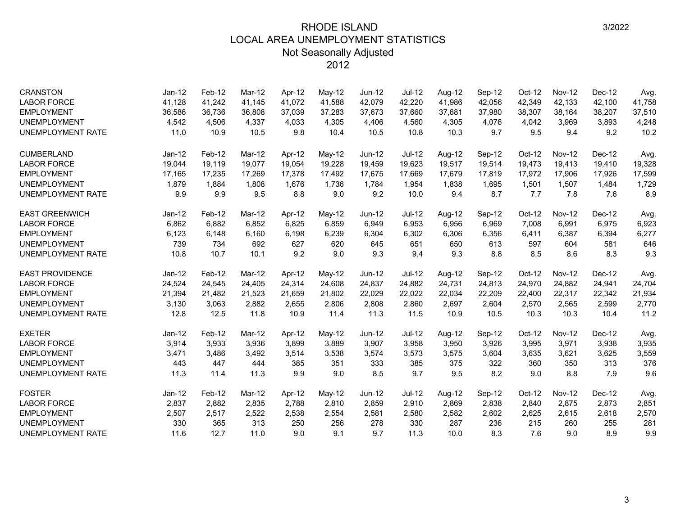| <b>CRANSTON</b>          | $Jan-12$ | Feb-12 | Mar-12 | Apr-12 | May-12   | Jun-12        | <b>Jul-12</b> | Aug-12 | Sep-12 | $Oct-12$ | <b>Nov-12</b> | Dec-12 | Avg.   |
|--------------------------|----------|--------|--------|--------|----------|---------------|---------------|--------|--------|----------|---------------|--------|--------|
| <b>LABOR FORCE</b>       | 41,128   | 41,242 | 41,145 | 41,072 | 41,588   | 42,079        | 42,220        | 41,986 | 42,056 | 42,349   | 42,133        | 42,100 | 41,758 |
| <b>EMPLOYMENT</b>        | 36,586   | 36,736 | 36,808 | 37,039 | 37,283   | 37,673        | 37,660        | 37,681 | 37,980 | 38,307   | 38,164        | 38,207 | 37,510 |
| <b>UNEMPLOYMENT</b>      | 4,542    | 4,506  | 4,337  | 4,033  | 4,305    | 4,406         | 4,560         | 4,305  | 4,076  | 4,042    | 3,969         | 3,893  | 4,248  |
| UNEMPLOYMENT RATE        | 11.0     | 10.9   | 10.5   | 9.8    | 10.4     | 10.5          | 10.8          | 10.3   | 9.7    | 9.5      | 9.4           | 9.2    | 10.2   |
| <b>CUMBERLAND</b>        | Jan-12   | Feb-12 | Mar-12 | Apr-12 | $May-12$ | <b>Jun-12</b> | $Jul-12$      | Aug-12 | Sep-12 | Oct-12   | <b>Nov-12</b> | Dec-12 | Avg.   |
| <b>LABOR FORCE</b>       | 19,044   | 19,119 | 19,077 | 19,054 | 19,228   | 19,459        | 19,623        | 19,517 | 19,514 | 19,473   | 19,413        | 19,410 | 19,328 |
| <b>EMPLOYMENT</b>        | 17,165   | 17,235 | 17.269 | 17,378 | 17,492   | 17,675        | 17,669        | 17,679 | 17,819 | 17,972   | 17,906        | 17,926 | 17,599 |
| <b>UNEMPLOYMENT</b>      | 1,879    | 1,884  | 1,808  | 1,676  | 1,736    | 1,784         | 1,954         | 1,838  | 1,695  | 1,501    | 1,507         | 1,484  | 1,729  |
| <b>UNEMPLOYMENT RATE</b> | 9.9      | 9.9    | 9.5    | 8.8    | 9.0      | 9.2           | 10.0          | 9.4    | 8.7    | 7.7      | 7.8           | 7.6    | 8.9    |
| <b>EAST GREENWICH</b>    | $Jan-12$ | Feb-12 | Mar-12 | Apr-12 | May-12   | $Jun-12$      | <b>Jul-12</b> | Aug-12 | Sep-12 | Oct-12   | <b>Nov-12</b> | Dec-12 | Avg.   |
| <b>LABOR FORCE</b>       | 6,862    | 6,882  | 6,852  | 6,825  | 6,859    | 6,949         | 6,953         | 6,956  | 6,969  | 7,008    | 6,991         | 6,975  | 6,923  |
| <b>EMPLOYMENT</b>        | 6,123    | 6,148  | 6,160  | 6,198  | 6,239    | 6,304         | 6,302         | 6,306  | 6,356  | 6,411    | 6,387         | 6,394  | 6,277  |
| <b>UNEMPLOYMENT</b>      | 739      | 734    | 692    | 627    | 620      | 645           | 651           | 650    | 613    | 597      | 604           | 581    | 646    |
| <b>UNEMPLOYMENT RATE</b> | 10.8     | 10.7   | 10.1   | 9.2    | 9.0      | 9.3           | 9.4           | 9.3    | 8.8    | 8.5      | 8.6           | 8.3    | 9.3    |
| <b>EAST PROVIDENCE</b>   | $Jan-12$ | Feb-12 | Mar-12 | Apr-12 | May-12   | <b>Jun-12</b> | Jul-12        | Aug-12 | Sep-12 | Oct-12   | <b>Nov-12</b> | Dec-12 | Avg.   |
| <b>LABOR FORCE</b>       | 24,524   | 24,545 | 24,405 | 24,314 | 24,608   | 24,837        | 24,882        | 24,731 | 24,813 | 24,970   | 24,882        | 24,941 | 24,704 |
| <b>EMPLOYMENT</b>        | 21,394   | 21,482 | 21,523 | 21,659 | 21,802   | 22,029        | 22,022        | 22,034 | 22,209 | 22,400   | 22,317        | 22,342 | 21,934 |
| <b>UNEMPLOYMENT</b>      | 3,130    | 3,063  | 2,882  | 2,655  | 2,806    | 2,808         | 2,860         | 2,697  | 2,604  | 2,570    | 2,565         | 2,599  | 2,770  |
| UNEMPLOYMENT RATE        | 12.8     | 12.5   | 11.8   | 10.9   | 11.4     | 11.3          | 11.5          | 10.9   | 10.5   | 10.3     | 10.3          | 10.4   | 11.2   |
| <b>EXETER</b>            | Jan-12   | Feb-12 | Mar-12 | Apr-12 | $May-12$ | Jun-12        | Jul-12        | Aug-12 | Sep-12 | Oct-12   | <b>Nov-12</b> | Dec-12 | Avg.   |
| <b>LABOR FORCE</b>       | 3,914    | 3,933  | 3,936  | 3,899  | 3,889    | 3,907         | 3,958         | 3,950  | 3,926  | 3,995    | 3,971         | 3,938  | 3,935  |
| <b>EMPLOYMENT</b>        | 3,471    | 3,486  | 3,492  | 3,514  | 3,538    | 3,574         | 3,573         | 3,575  | 3,604  | 3,635    | 3,621         | 3,625  | 3,559  |
| <b>UNEMPLOYMENT</b>      | 443      | 447    | 444    | 385    | 351      | 333           | 385           | 375    | 322    | 360      | 350           | 313    | 376    |
| <b>UNEMPLOYMENT RATE</b> | 11.3     | 11.4   | 11.3   | 9.9    | 9.0      | 8.5           | 9.7           | 9.5    | 8.2    | 9.0      | 8.8           | 7.9    | 9.6    |
| <b>FOSTER</b>            | Jan-12   | Feb-12 | Mar-12 | Apr-12 | May-12   | Jun-12        | Jul-12        | Aug-12 | Sep-12 | Oct-12   | <b>Nov-12</b> | Dec-12 | Avg.   |
| <b>LABOR FORCE</b>       | 2,837    | 2,882  | 2,835  | 2,788  | 2,810    | 2,859         | 2,910         | 2,869  | 2,838  | 2,840    | 2,875         | 2,873  | 2,851  |
| <b>EMPLOYMENT</b>        | 2,507    | 2,517  | 2,522  | 2,538  | 2,554    | 2,581         | 2,580         | 2,582  | 2,602  | 2,625    | 2,615         | 2,618  | 2,570  |
| <b>UNEMPLOYMENT</b>      | 330      | 365    | 313    | 250    | 256      | 278           | 330           | 287    | 236    | 215      | 260           | 255    | 281    |
| <b>UNEMPLOYMENT RATE</b> | 11.6     | 12.7   | 11.0   | 9.0    | 9.1      | 9.7           | 11.3          | 10.0   | 8.3    | 7.6      | 9.0           | 8.9    | 9.9    |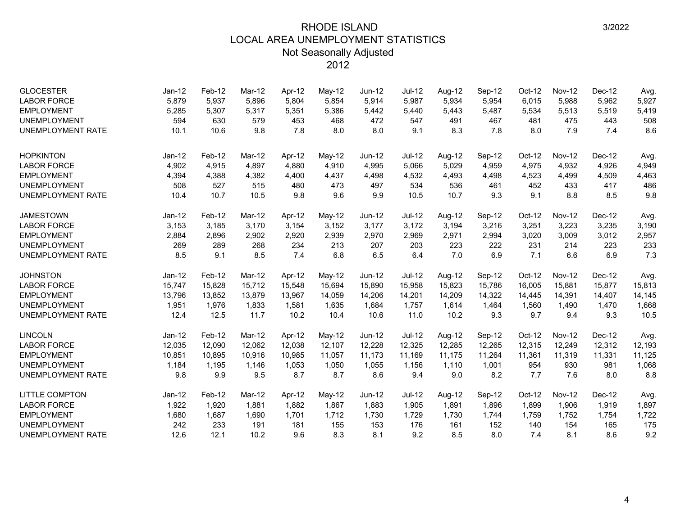| <b>GLOCESTER</b><br><b>LABOR FORCE</b><br><b>EMPLOYMENT</b><br><b>UNEMPLOYMENT</b><br><b>UNEMPLOYMENT RATE</b> | $Jan-12$<br>5,879<br>5,285<br>594<br>10.1 | Feb-12<br>5,937<br>5,307<br>630<br>10.6 | Mar-12<br>5,896<br>5,317<br>579<br>9.8 | Apr-12<br>5,804<br>5,351<br>453<br>7.8 | May-12<br>5,854<br>5,386<br>468<br>8.0 | $Jun-12$<br>5,914<br>5,442<br>472<br>8.0 | Jul-12<br>5,987<br>5,440<br>547<br>9.1 | Aug-12<br>5,934<br>5,443<br>491<br>8.3 | Sep-12<br>5,954<br>5,487<br>467<br>7.8 | $Oct-12$<br>6,015<br>5,534<br>481<br>8.0 | <b>Nov-12</b><br>5,988<br>5,513<br>475<br>7.9 | Dec-12<br>5,962<br>5,519<br>443<br>7.4 | Avg.<br>5,927<br>5,419<br>508<br>8.6 |
|----------------------------------------------------------------------------------------------------------------|-------------------------------------------|-----------------------------------------|----------------------------------------|----------------------------------------|----------------------------------------|------------------------------------------|----------------------------------------|----------------------------------------|----------------------------------------|------------------------------------------|-----------------------------------------------|----------------------------------------|--------------------------------------|
| <b>HOPKINTON</b>                                                                                               | Jan-12                                    | Feb-12                                  | Mar-12                                 | Apr-12                                 | May-12                                 | <b>Jun-12</b>                            | <b>Jul-12</b>                          | Aug-12                                 | Sep-12                                 | Oct-12                                   | <b>Nov-12</b>                                 | Dec-12                                 | Avg.                                 |
| <b>LABOR FORCE</b>                                                                                             | 4,902                                     | 4,915                                   | 4,897                                  | 4,880                                  | 4,910                                  | 4,995                                    | 5,066                                  | 5,029                                  | 4,959                                  | 4,975                                    | 4,932                                         | 4,926                                  | 4,949                                |
| <b>EMPLOYMENT</b>                                                                                              | 4,394                                     | 4,388                                   | 4,382                                  | 4,400                                  | 4,437                                  | 4,498                                    | 4,532                                  | 4,493                                  | 4,498                                  | 4,523                                    | 4,499                                         | 4,509                                  | 4,463                                |
| <b>UNEMPLOYMENT</b>                                                                                            | 508                                       | 527                                     | 515                                    | 480                                    | 473                                    | 497                                      | 534                                    | 536                                    | 461                                    | 452                                      | 433                                           | 417                                    | 486                                  |
| <b>UNEMPLOYMENT RATE</b>                                                                                       | 10.4                                      | 10.7                                    | 10.5                                   | 9.8                                    | 9.6                                    | 9.9                                      | 10.5                                   | 10.7                                   | 9.3                                    | 9.1                                      | 8.8                                           | 8.5                                    | 9.8                                  |
| <b>JAMESTOWN</b>                                                                                               | $Jan-12$                                  | Feb-12                                  | Mar-12                                 | Apr-12                                 | May-12                                 | $Jun-12$                                 | Jul-12                                 | Aug-12                                 | Sep-12                                 | Oct-12                                   | <b>Nov-12</b>                                 | Dec-12                                 | Avg.                                 |
| <b>LABOR FORCE</b>                                                                                             | 3,153                                     | 3,185                                   | 3,170                                  | 3,154                                  | 3,152                                  | 3,177                                    | 3,172                                  | 3,194                                  | 3,216                                  | 3,251                                    | 3,223                                         | 3,235                                  | 3,190                                |
| <b>EMPLOYMENT</b>                                                                                              | 2,884                                     | 2,896                                   | 2,902                                  | 2,920                                  | 2,939                                  | 2,970                                    | 2,969                                  | 2,971                                  | 2,994                                  | 3,020                                    | 3,009                                         | 3,012                                  | 2,957                                |
| <b>UNEMPLOYMENT</b>                                                                                            | 269                                       | 289                                     | 268                                    | 234                                    | 213                                    | 207                                      | 203                                    | 223                                    | 222                                    | 231                                      | 214                                           | 223                                    | 233                                  |
| <b>UNEMPLOYMENT RATE</b>                                                                                       | 8.5                                       | 9.1                                     | 8.5                                    | 7.4                                    | 6.8                                    | 6.5                                      | 6.4                                    | 7.0                                    | 6.9                                    | 7.1                                      | 6.6                                           | 6.9                                    | 7.3                                  |
| <b>JOHNSTON</b>                                                                                                | Jan-12                                    | Feb-12                                  | Mar-12                                 | Apr-12                                 | May-12                                 | Jun-12                                   | $Jul-12$                               | Aug-12                                 | Sep-12                                 | Oct-12                                   | <b>Nov-12</b>                                 | Dec-12                                 | Avg.                                 |
| <b>LABOR FORCE</b>                                                                                             | 15,747                                    | 15,828                                  | 15,712                                 | 15,548                                 | 15,694                                 | 15,890                                   | 15,958                                 | 15,823                                 | 15,786                                 | 16,005                                   | 15,881                                        | 15,877                                 | 15,813                               |
| <b>EMPLOYMENT</b>                                                                                              | 13,796                                    | 13,852                                  | 13,879                                 | 13,967                                 | 14,059                                 | 14,206                                   | 14,201                                 | 14,209                                 | 14,322                                 | 14,445                                   | 14,391                                        | 14,407                                 | 14,145                               |
| <b>UNEMPLOYMENT</b>                                                                                            | 1,951                                     | 1,976                                   | 1,833                                  | 1,581                                  | 1,635                                  | 1,684                                    | 1,757                                  | 1,614                                  | 1,464                                  | 1,560                                    | 1,490                                         | 1,470                                  | 1,668                                |
| <b>UNEMPLOYMENT RATE</b>                                                                                       | 12.4                                      | 12.5                                    | 11.7                                   | 10.2                                   | 10.4                                   | 10.6                                     | 11.0                                   | 10.2                                   | 9.3                                    | 9.7                                      | 9.4                                           | 9.3                                    | 10.5                                 |
| <b>LINCOLN</b>                                                                                                 | Jan-12                                    | Feb-12                                  | Mar-12                                 | Apr-12                                 | May-12                                 | <b>Jun-12</b>                            | $Jul-12$                               | Aug-12                                 | Sep-12                                 | Oct-12                                   | <b>Nov-12</b>                                 | Dec-12                                 | Avg.                                 |
| <b>LABOR FORCE</b>                                                                                             | 12,035                                    | 12,090                                  | 12,062                                 | 12,038                                 | 12,107                                 | 12,228                                   | 12,325                                 | 12,285                                 | 12,265                                 | 12,315                                   | 12,249                                        | 12,312                                 | 12,193                               |
| <b>EMPLOYMENT</b>                                                                                              | 10,851                                    | 10,895                                  | 10,916                                 | 10,985                                 | 11,057                                 | 11,173                                   | 11,169                                 | 11,175                                 | 11,264                                 | 11,361                                   | 11,319                                        | 11,331                                 | 11,125                               |
| <b>UNEMPLOYMENT</b>                                                                                            | 1,184                                     | 1,195                                   | 1,146                                  | 1,053                                  | 1,050                                  | 1,055                                    | 1,156                                  | 1,110                                  | 1,001                                  | 954                                      | 930                                           | 981                                    | 1,068                                |
| <b>UNEMPLOYMENT RATE</b>                                                                                       | 9.8                                       | 9.9                                     | 9.5                                    | 8.7                                    | 8.7                                    | 8.6                                      | 9.4                                    | 9.0                                    | 8.2                                    | 7.7                                      | 7.6                                           | 8.0                                    | 8.8                                  |
| <b>LITTLE COMPTON</b>                                                                                          | Jan-12                                    | Feb-12                                  | Mar-12                                 | Apr-12                                 | May-12                                 | Jun-12                                   | $Jul-12$                               | Aug-12                                 | Sep-12                                 | Oct-12                                   | <b>Nov-12</b>                                 | Dec-12                                 | Avg.                                 |
| <b>LABOR FORCE</b>                                                                                             | 1,922                                     | 1,920                                   | 1,881                                  | 1,882                                  | 1,867                                  | 1,883                                    | 1,905                                  | 1,891                                  | 1,896                                  | 1,899                                    | 1,906                                         | 1,919                                  | 1,897                                |
| <b>EMPLOYMENT</b>                                                                                              | 1,680                                     | 1,687                                   | 1,690                                  | 1,701                                  | 1,712                                  | 1,730                                    | 1,729                                  | 1,730                                  | 1,744                                  | 1,759                                    | 1,752                                         | 1,754                                  | 1,722                                |
| <b>UNEMPLOYMENT</b>                                                                                            | 242                                       | 233                                     | 191                                    | 181                                    | 155                                    | 153                                      | 176                                    | 161                                    | 152                                    | 140                                      | 154                                           | 165                                    | 175                                  |
| <b>UNEMPLOYMENT RATE</b>                                                                                       | 12.6                                      | 12.1                                    | 10.2                                   | 9.6                                    | 8.3                                    | 8.1                                      | 9.2                                    | 8.5                                    | 8.0                                    | 7.4                                      | 8.1                                           | 8.6                                    | 9.2                                  |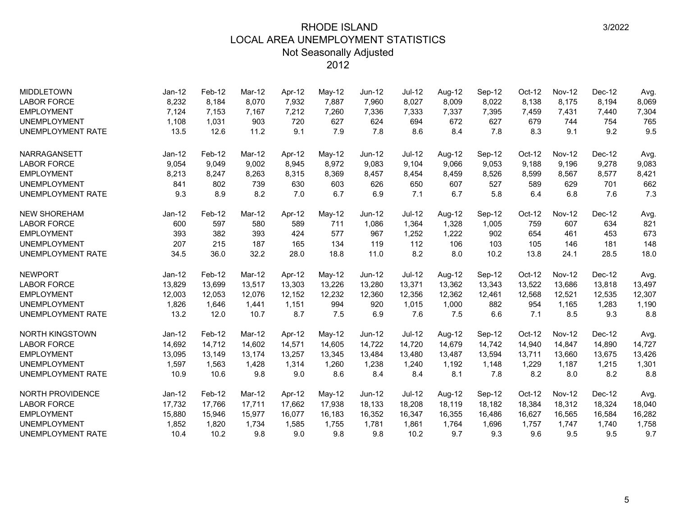| <b>MIDDLETOWN</b>        | $Jan-12$ | Feb-12 | Mar-12 | Apr-12 | May-12 | $Jun-12$ | <b>Jul-12</b> | Aug-12 | Sep-12 | $Oct-12$ | <b>Nov-12</b> | Dec-12 | Avg.   |
|--------------------------|----------|--------|--------|--------|--------|----------|---------------|--------|--------|----------|---------------|--------|--------|
| <b>LABOR FORCE</b>       | 8,232    | 8,184  | 8,070  | 7,932  | 7,887  | 7,960    | 8,027         | 8,009  | 8,022  | 8,138    | 8,175         | 8,194  | 8,069  |
| <b>EMPLOYMENT</b>        | 7,124    | 7,153  | 7,167  | 7,212  | 7,260  | 7,336    | 7,333         | 7,337  | 7,395  | 7,459    | 7,431         | 7,440  | 7,304  |
| <b>UNEMPLOYMENT</b>      | 1,108    | 1,031  | 903    | 720    | 627    | 624      | 694           | 672    | 627    | 679      | 744           | 754    | 765    |
| <b>UNEMPLOYMENT RATE</b> | 13.5     | 12.6   | 11.2   | 9.1    | 7.9    | 7.8      | 8.6           | 8.4    | 7.8    | 8.3      | 9.1           | 9.2    | 9.5    |
| NARRAGANSETT             | Jan-12   | Feb-12 | Mar-12 | Apr-12 | May-12 | Jun-12   | $Jul-12$      | Aug-12 | Sep-12 | Oct-12   | <b>Nov-12</b> | Dec-12 | Avg.   |
| <b>LABOR FORCE</b>       | 9,054    | 9,049  | 9.002  | 8,945  | 8.972  | 9.083    | 9.104         | 9.066  | 9,053  | 9,188    | 9.196         | 9,278  | 9,083  |
| <b>EMPLOYMENT</b>        | 8,213    | 8,247  | 8,263  | 8,315  | 8,369  | 8,457    | 8,454         | 8,459  | 8,526  | 8,599    | 8,567         | 8,577  | 8,421  |
| <b>UNEMPLOYMENT</b>      | 841      | 802    | 739    | 630    | 603    | 626      | 650           | 607    | 527    | 589      | 629           | 701    | 662    |
| <b>UNEMPLOYMENT RATE</b> | 9.3      | 8.9    | 8.2    | 7.0    | 6.7    | 6.9      | 7.1           | 6.7    | 5.8    | 6.4      | 6.8           | 7.6    | 7.3    |
| <b>NEW SHOREHAM</b>      | Jan-12   | Feb-12 | Mar-12 | Apr-12 | May-12 | $Jun-12$ | <b>Jul-12</b> | Aug-12 | Sep-12 | Oct-12   | <b>Nov-12</b> | Dec-12 | Avg.   |
| <b>LABOR FORCE</b>       | 600      | 597    | 580    | 589    | 711    | 1,086    | 1,364         | 1,328  | 1,005  | 759      | 607           | 634    | 821    |
| <b>EMPLOYMENT</b>        | 393      | 382    | 393    | 424    | 577    | 967      | 1,252         | 1,222  | 902    | 654      | 461           | 453    | 673    |
| <b>UNEMPLOYMENT</b>      | 207      | 215    | 187    | 165    | 134    | 119      | 112           | 106    | 103    | 105      | 146           | 181    | 148    |
| <b>UNEMPLOYMENT RATE</b> | 34.5     | 36.0   | 32.2   | 28.0   | 18.8   | 11.0     | 8.2           | 8.0    | 10.2   | 13.8     | 24.1          | 28.5   | 18.0   |
| <b>NEWPORT</b>           | Jan-12   | Feb-12 | Mar-12 | Apr-12 | May-12 | Jun-12   | $Jul-12$      | Aug-12 | Sep-12 | Oct-12   | <b>Nov-12</b> | Dec-12 | Avg.   |
| <b>LABOR FORCE</b>       | 13,829   | 13,699 | 13,517 | 13,303 | 13,226 | 13,280   | 13,371        | 13,362 | 13,343 | 13,522   | 13,686        | 13,818 | 13,497 |
| <b>EMPLOYMENT</b>        | 12,003   | 12,053 | 12,076 | 12,152 | 12,232 | 12,360   | 12,356        | 12,362 | 12,461 | 12,568   | 12,521        | 12,535 | 12,307 |
| <b>UNEMPLOYMENT</b>      | 1,826    | 1,646  | 1,441  | 1,151  | 994    | 920      | 1,015         | 1,000  | 882    | 954      | 1,165         | 1,283  | 1,190  |
| <b>UNEMPLOYMENT RATE</b> | 13.2     | 12.0   | 10.7   | 8.7    | 7.5    | 6.9      | 7.6           | 7.5    | 6.6    | 7.1      | 8.5           | 9.3    | 8.8    |
| NORTH KINGSTOWN          | Jan-12   | Feb-12 | Mar-12 | Apr-12 | May-12 | Jun-12   | $Jul-12$      | Aug-12 | Sep-12 | Oct-12   | <b>Nov-12</b> | Dec-12 | Avg.   |
| <b>LABOR FORCE</b>       | 14,692   | 14.712 | 14.602 | 14.571 | 14.605 | 14,722   | 14.720        | 14,679 | 14,742 | 14.940   | 14.847        | 14,890 | 14,727 |
| <b>EMPLOYMENT</b>        | 13,095   | 13,149 | 13.174 | 13,257 | 13,345 | 13,484   | 13,480        | 13,487 | 13,594 | 13,711   | 13,660        | 13,675 | 13,426 |
| <b>UNEMPLOYMENT</b>      | 1,597    | 1,563  | 1,428  | 1,314  | 1,260  | 1,238    | 1,240         | 1,192  | 1,148  | 1,229    | 1,187         | 1,215  | 1,301  |
| UNEMPLOYMENT RATE        | 10.9     | 10.6   | 9.8    | 9.0    | 8.6    | 8.4      | 8.4           | 8.1    | 7.8    | 8.2      | 8.0           | 8.2    | 8.8    |
| NORTH PROVIDENCE         | Jan-12   | Feb-12 | Mar-12 | Apr-12 | May-12 | Jun-12   | $Jul-12$      | Aug-12 | Sep-12 | Oct-12   | <b>Nov-12</b> | Dec-12 | Avg.   |
| <b>LABOR FORCE</b>       | 17,732   | 17,766 | 17,711 | 17,662 | 17,938 | 18,133   | 18,208        | 18,119 | 18,182 | 18,384   | 18,312        | 18,324 | 18,040 |
| <b>EMPLOYMENT</b>        | 15,880   | 15,946 | 15,977 | 16,077 | 16,183 | 16,352   | 16,347        | 16,355 | 16,486 | 16,627   | 16,565        | 16,584 | 16,282 |
| <b>UNEMPLOYMENT</b>      | 1,852    | 1,820  | 1,734  | 1,585  | 1,755  | 1,781    | 1,861         | 1,764  | 1,696  | 1,757    | 1,747         | 1,740  | 1,758  |
| <b>UNEMPLOYMENT RATE</b> | 10.4     | 10.2   | 9.8    | 9.0    | 9.8    | 9.8      | 10.2          | 9.7    | 9.3    | 9.6      | 9.5           | 9.5    | 9.7    |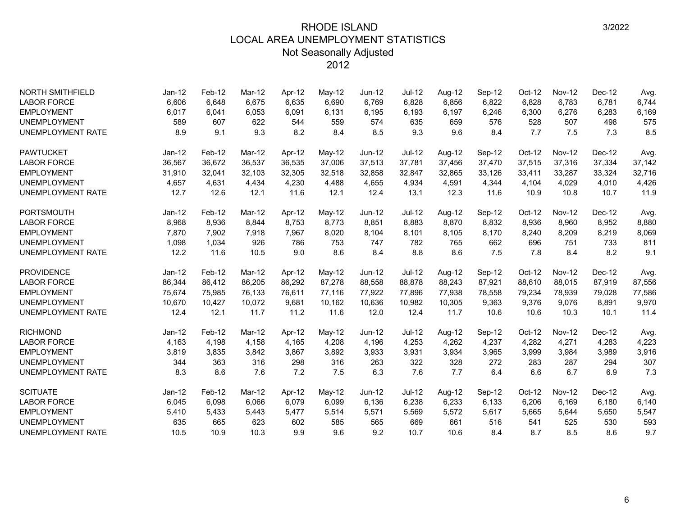| <b>NORTH SMITHFIELD</b>  | Jan-12   | Feb-12 | Mar-12 | Apr-12 | May-12 | Jun-12        | Jul-12        | Aug-12 | Sep-12 | Oct-12 | <b>Nov-12</b> | Dec-12 | Avg.   |
|--------------------------|----------|--------|--------|--------|--------|---------------|---------------|--------|--------|--------|---------------|--------|--------|
| <b>LABOR FORCE</b>       | 6,606    | 6,648  | 6.675  | 6,635  | 6,690  | 6.769         | 6,828         | 6,856  | 6,822  | 6,828  | 6,783         | 6,781  | 6,744  |
| <b>EMPLOYMENT</b>        | 6,017    | 6,041  | 6,053  | 6,091  | 6,131  | 6,195         | 6,193         | 6,197  | 6,246  | 6,300  | 6,276         | 6,283  | 6,169  |
| <b>UNEMPLOYMENT</b>      | 589      | 607    | 622    | 544    | 559    | 574           | 635           | 659    | 576    | 528    | 507           | 498    | 575    |
| <b>UNEMPLOYMENT RATE</b> | 8.9      | 9.1    | 9.3    | 8.2    | 8.4    | 8.5           | 9.3           | 9.6    | 8.4    | 7.7    | 7.5           | 7.3    | 8.5    |
| <b>PAWTUCKET</b>         | Jan-12   | Feb-12 | Mar-12 | Apr-12 | May-12 | <b>Jun-12</b> | <b>Jul-12</b> | Aug-12 | Sep-12 | Oct-12 | <b>Nov-12</b> | Dec-12 | Avg.   |
| <b>LABOR FORCE</b>       | 36,567   | 36,672 | 36,537 | 36,535 | 37,006 | 37,513        | 37,781        | 37,456 | 37,470 | 37,515 | 37,316        | 37,334 | 37,142 |
| <b>EMPLOYMENT</b>        | 31,910   | 32,041 | 32,103 | 32,305 | 32,518 | 32,858        | 32,847        | 32,865 | 33,126 | 33,411 | 33,287        | 33,324 | 32,716 |
| <b>UNEMPLOYMENT</b>      | 4,657    | 4,631  | 4,434  | 4,230  | 4,488  | 4,655         | 4,934         | 4,591  | 4,344  | 4,104  | 4,029         | 4,010  | 4,426  |
| <b>UNEMPLOYMENT RATE</b> | 12.7     | 12.6   | 12.1   | 11.6   | 12.1   | 12.4          | 13.1          | 12.3   | 11.6   | 10.9   | 10.8          | 10.7   | 11.9   |
| <b>PORTSMOUTH</b>        | Jan-12   | Feb-12 | Mar-12 | Apr-12 | May-12 | Jun-12        | Jul-12        | Aug-12 | Sep-12 | Oct-12 | <b>Nov-12</b> | Dec-12 | Avg.   |
| <b>LABOR FORCE</b>       | 8,968    | 8,936  | 8.844  | 8,753  | 8,773  | 8,851         | 8,883         | 8,870  | 8,832  | 8,936  | 8,960         | 8,952  | 8,880  |
| <b>EMPLOYMENT</b>        | 7,870    | 7,902  | 7,918  | 7,967  | 8,020  | 8,104         | 8,101         | 8,105  | 8,170  | 8,240  | 8,209         | 8,219  | 8,069  |
| <b>UNEMPLOYMENT</b>      | 1,098    | 1,034  | 926    | 786    | 753    | 747           | 782           | 765    | 662    | 696    | 751           | 733    | 811    |
| <b>UNEMPLOYMENT RATE</b> | 12.2     | 11.6   | 10.5   | 9.0    | 8.6    | 8.4           | 8.8           | 8.6    | 7.5    | 7.8    | 8.4           | 8.2    | 9.1    |
| <b>PROVIDENCE</b>        | $Jan-12$ | Feb-12 | Mar-12 | Apr-12 | May-12 | Jun-12        | <b>Jul-12</b> | Aug-12 | Sep-12 | Oct-12 | <b>Nov-12</b> | Dec-12 | Avg.   |
| <b>LABOR FORCE</b>       | 86,344   | 86,412 | 86,205 | 86,292 | 87,278 | 88,558        | 88,878        | 88,243 | 87,921 | 88,610 | 88,015        | 87,919 | 87,556 |
| <b>EMPLOYMENT</b>        | 75,674   | 75,985 | 76,133 | 76,611 | 77,116 | 77,922        | 77,896        | 77,938 | 78,558 | 79,234 | 78,939        | 79,028 | 77,586 |
| <b>UNEMPLOYMENT</b>      | 10,670   | 10,427 | 10,072 | 9,681  | 10,162 | 10,636        | 10,982        | 10,305 | 9,363  | 9,376  | 9,076         | 8,891  | 9,970  |
| <b>UNEMPLOYMENT RATE</b> | 12.4     | 12.1   | 11.7   | 11.2   | 11.6   | 12.0          | 12.4          | 11.7   | 10.6   | 10.6   | 10.3          | 10.1   | 11.4   |
| <b>RICHMOND</b>          | $Jan-12$ | Feb-12 | Mar-12 | Apr-12 | May-12 | Jun-12        | Jul-12        | Aug-12 | Sep-12 | Oct-12 | <b>Nov-12</b> | Dec-12 | Avg.   |
| <b>LABOR FORCE</b>       | 4,163    | 4,198  | 4,158  | 4.165  | 4,208  | 4,196         | 4,253         | 4.262  | 4,237  | 4,282  | 4,271         | 4,283  | 4,223  |
| <b>EMPLOYMENT</b>        | 3,819    | 3,835  | 3,842  | 3,867  | 3,892  | 3,933         | 3,931         | 3,934  | 3,965  | 3,999  | 3,984         | 3,989  | 3,916  |
| <b>UNEMPLOYMENT</b>      | 344      | 363    | 316    | 298    | 316    | 263           | 322           | 328    | 272    | 283    | 287           | 294    | 307    |
| <b>UNEMPLOYMENT RATE</b> | 8.3      | 8.6    | 7.6    | 7.2    | 7.5    | 6.3           | 7.6           | 7.7    | 6.4    | 6.6    | 6.7           | 6.9    | 7.3    |
| <b>SCITUATE</b>          | $Jan-12$ | Feb-12 | Mar-12 | Apr-12 | May-12 | $Jun-12$      | $Jul-12$      | Aug-12 | Sep-12 | Oct-12 | <b>Nov-12</b> | Dec-12 | Avg.   |
| <b>LABOR FORCE</b>       | 6,045    | 6,098  | 6,066  | 6,079  | 6,099  | 6,136         | 6,238         | 6,233  | 6,133  | 6,206  | 6,169         | 6,180  | 6,140  |
| <b>EMPLOYMENT</b>        | 5,410    | 5,433  | 5,443  | 5,477  | 5,514  | 5,571         | 5,569         | 5,572  | 5,617  | 5,665  | 5,644         | 5,650  | 5,547  |
| <b>UNEMPLOYMENT</b>      | 635      | 665    | 623    | 602    | 585    | 565           | 669           | 661    | 516    | 541    | 525           | 530    | 593    |
| <b>UNEMPLOYMENT RATE</b> | 10.5     | 10.9   | 10.3   | 9.9    | 9.6    | 9.2           | 10.7          | 10.6   | 8.4    | 8.7    | 8.5           | 8.6    | 9.7    |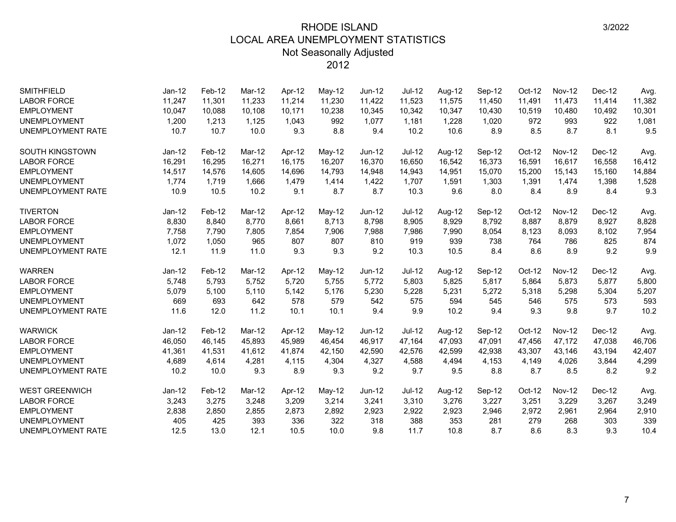| <b>SMITHFIELD</b>        | $Jan-12$ | Feb-12 | Mar-12 | Apr-12 | May-12 | Jun-12   | <b>Jul-12</b> | Aug-12 | Sep-12 | $Oct-12$ | <b>Nov-12</b> | Dec-12   | Avg.   |
|--------------------------|----------|--------|--------|--------|--------|----------|---------------|--------|--------|----------|---------------|----------|--------|
| <b>LABOR FORCE</b>       | 11,247   | 11,301 | 11.233 | 11,214 | 11,230 | 11,422   | 11,523        | 11,575 | 11,450 | 11,491   | 11.473        | 11,414   | 11,382 |
| <b>EMPLOYMENT</b>        | 10,047   | 10,088 | 10,108 | 10,171 | 10,238 | 10,345   | 10,342        | 10,347 | 10,430 | 10,519   | 10,480        | 10,492   | 10,301 |
| <b>UNEMPLOYMENT</b>      | 1,200    | 1,213  | 1,125  | 1,043  | 992    | 1,077    | 1,181         | 1,228  | 1,020  | 972      | 993           | 922      | 1,081  |
| <b>UNEMPLOYMENT RATE</b> | 10.7     | 10.7   | 10.0   | 9.3    | 8.8    | 9.4      | 10.2          | 10.6   | 8.9    | 8.5      | 8.7           | 8.1      | 9.5    |
| <b>SOUTH KINGSTOWN</b>   | Jan-12   | Feb-12 | Mar-12 | Apr-12 | May-12 | $Jun-12$ | <b>Jul-12</b> | Aug-12 | Sep-12 | Oct-12   | <b>Nov-12</b> | Dec-12   | Avg.   |
| <b>LABOR FORCE</b>       | 16,291   | 16,295 | 16,271 | 16.175 | 16,207 | 16,370   | 16,650        | 16,542 | 16,373 | 16,591   | 16,617        | 16,558   | 16,412 |
| <b>EMPLOYMENT</b>        | 14,517   | 14,576 | 14,605 | 14,696 | 14,793 | 14,948   | 14,943        | 14,951 | 15,070 | 15,200   | 15,143        | 15,160   | 14,884 |
| <b>UNEMPLOYMENT</b>      | 1,774    | 1,719  | 1,666  | 1,479  | 1,414  | 1,422    | 1,707         | 1,591  | 1,303  | 1,391    | 1,474         | 1,398    | 1,528  |
| <b>UNEMPLOYMENT RATE</b> | 10.9     | 10.5   | 10.2   | 9.1    | 8.7    | 8.7      | 10.3          | 9.6    | 8.0    | 8.4      | 8.9           | 8.4      | 9.3    |
| <b>TIVERTON</b>          | $Jan-12$ | Feb-12 | Mar-12 | Apr-12 | May-12 | Jun-12   | Jul-12        | Aug-12 | Sep-12 | $Oct-12$ | <b>Nov-12</b> | $Dec-12$ | Avg.   |
| <b>LABOR FORCE</b>       | 8,830    | 8,840  | 8.770  | 8,661  | 8,713  | 8,798    | 8,905         | 8,929  | 8,792  | 8,887    | 8,879         | 8,927    | 8,828  |
| <b>EMPLOYMENT</b>        | 7,758    | 7,790  | 7,805  | 7,854  | 7,906  | 7,988    | 7,986         | 7,990  | 8,054  | 8,123    | 8,093         | 8,102    | 7,954  |
| <b>UNEMPLOYMENT</b>      | 1,072    | 1,050  | 965    | 807    | 807    | 810      | 919           | 939    | 738    | 764      | 786           | 825      | 874    |
| <b>UNEMPLOYMENT RATE</b> | 12.1     | 11.9   | 11.0   | 9.3    | 9.3    | 9.2      | 10.3          | 10.5   | 8.4    | 8.6      | 8.9           | 9.2      | 9.9    |
| <b>WARREN</b>            | $Jan-12$ | Feb-12 | Mar-12 | Apr-12 | May-12 | Jun-12   | Jul-12        | Aug-12 | Sep-12 | Oct-12   | <b>Nov-12</b> | Dec-12   | Avg.   |
| <b>LABOR FORCE</b>       | 5,748    | 5,793  | 5.752  | 5,720  | 5,755  | 5.772    | 5,803         | 5.825  | 5,817  | 5,864    | 5.873         | 5.877    | 5,800  |
| <b>EMPLOYMENT</b>        | 5,079    | 5,100  | 5,110  | 5,142  | 5,176  | 5,230    | 5,228         | 5,231  | 5,272  | 5,318    | 5,298         | 5,304    | 5,207  |
| <b>UNEMPLOYMENT</b>      | 669      | 693    | 642    | 578    | 579    | 542      | 575           | 594    | 545    | 546      | 575           | 573      | 593    |
| <b>UNEMPLOYMENT RATE</b> | 11.6     | 12.0   | 11.2   | 10.1   | 10.1   | 9.4      | 9.9           | 10.2   | 9.4    | 9.3      | 9.8           | 9.7      | 10.2   |
| <b>WARWICK</b>           | $Jan-12$ | Feb-12 | Mar-12 | Apr-12 | May-12 | $Jun-12$ | $Jul-12$      | Aug-12 | Sep-12 | Oct-12   | <b>Nov-12</b> | Dec-12   | Avg.   |
| <b>LABOR FORCE</b>       | 46,050   | 46,145 | 45.893 | 45,989 | 46,454 | 46,917   | 47,164        | 47,093 | 47,091 | 47,456   | 47,172        | 47,038   | 46,706 |
| <b>EMPLOYMENT</b>        | 41,361   | 41,531 | 41,612 | 41,874 | 42,150 | 42,590   | 42,576        | 42,599 | 42,938 | 43,307   | 43,146        | 43,194   | 42,407 |
| <b>UNEMPLOYMENT</b>      | 4,689    | 4,614  | 4,281  | 4,115  | 4,304  | 4,327    | 4,588         | 4,494  | 4,153  | 4,149    | 4,026         | 3,844    | 4,299  |
| UNEMPLOYMENT RATE        | 10.2     | 10.0   | 9.3    | 8.9    | 9.3    | 9.2      | 9.7           | 9.5    | 8.8    | 8.7      | 8.5           | 8.2      | 9.2    |
| <b>WEST GREENWICH</b>    | $Jan-12$ | Feb-12 | Mar-12 | Apr-12 | May-12 | $Jun-12$ | $Jul-12$      | Aug-12 | Sep-12 | Oct-12   | <b>Nov-12</b> | Dec-12   | Avg.   |
| <b>LABOR FORCE</b>       | 3,243    | 3,275  | 3,248  | 3,209  | 3,214  | 3,241    | 3,310         | 3,276  | 3,227  | 3,251    | 3,229         | 3,267    | 3,249  |
| <b>EMPLOYMENT</b>        | 2,838    | 2,850  | 2,855  | 2,873  | 2,892  | 2,923    | 2,922         | 2,923  | 2,946  | 2,972    | 2,961         | 2,964    | 2,910  |
| <b>UNEMPLOYMENT</b>      | 405      | 425    | 393    | 336    | 322    | 318      | 388           | 353    | 281    | 279      | 268           | 303      | 339    |
| <b>UNEMPLOYMENT RATE</b> | 12.5     | 13.0   | 12.1   | 10.5   | 10.0   | 9.8      | 11.7          | 10.8   | 8.7    | 8.6      | 8.3           | 9.3      | 10.4   |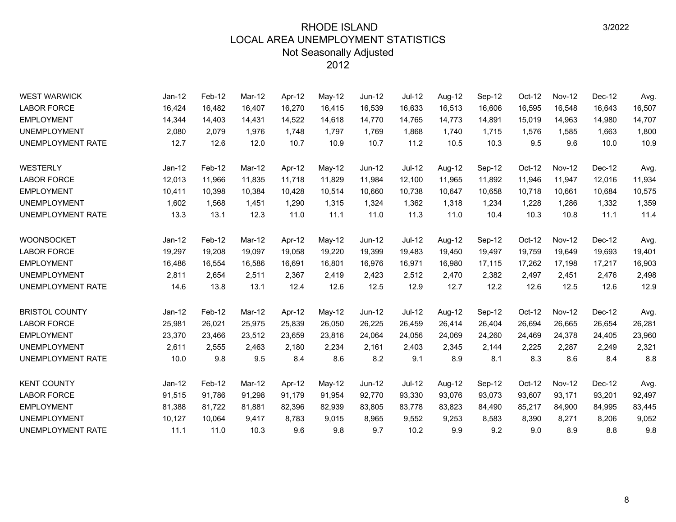| <b>WEST WARWICK</b>      | Jan-12   | Feb-12 | Mar-12 | Apr-12 | May-12 | Jun-12   | <b>Jul-12</b> | Aug-12 | Sep-12 | Oct-12 | <b>Nov-12</b> | Dec-12 | Avg.   |
|--------------------------|----------|--------|--------|--------|--------|----------|---------------|--------|--------|--------|---------------|--------|--------|
| <b>LABOR FORCE</b>       | 16,424   | 16,482 | 16,407 | 16,270 | 16,415 | 16,539   | 16,633        | 16,513 | 16,606 | 16,595 | 16,548        | 16,643 | 16,507 |
| <b>EMPLOYMENT</b>        | 14,344   | 14,403 | 14,431 | 14,522 | 14,618 | 14,770   | 14,765        | 14,773 | 14,891 | 15,019 | 14,963        | 14,980 | 14,707 |
| <b>UNEMPLOYMENT</b>      | 2,080    | 2,079  | 1.976  | 1,748  | 1,797  | 1.769    | 1,868         | 1,740  | 1,715  | 1,576  | 1,585         | 1,663  | 1,800  |
| <b>UNEMPLOYMENT RATE</b> | 12.7     | 12.6   | 12.0   | 10.7   | 10.9   | 10.7     | 11.2          | 10.5   | 10.3   | 9.5    | 9.6           | 10.0   | 10.9   |
| <b>WESTERLY</b>          | $Jan-12$ | Feb-12 | Mar-12 | Apr-12 | May-12 | Jun-12   | <b>Jul-12</b> | Aug-12 | Sep-12 | Oct-12 | <b>Nov-12</b> | Dec-12 | Avg.   |
| <b>LABOR FORCE</b>       | 12,013   | 11,966 | 11,835 | 11,718 | 11,829 | 11,984   | 12,100        | 11,965 | 11,892 | 11,946 | 11,947        | 12,016 | 11,934 |
| <b>EMPLOYMENT</b>        | 10,411   | 10,398 | 10,384 | 10,428 | 10,514 | 10,660   | 10,738        | 10,647 | 10,658 | 10,718 | 10,661        | 10,684 | 10,575 |
| <b>UNEMPLOYMENT</b>      | 1,602    | 1,568  | 1,451  | 1,290  | 1,315  | 1,324    | 1,362         | 1,318  | 1,234  | 1,228  | 1,286         | 1,332  | 1,359  |
| <b>UNEMPLOYMENT RATE</b> | 13.3     | 13.1   | 12.3   | 11.0   | 11.1   | 11.0     | 11.3          | 11.0   | 10.4   | 10.3   | 10.8          | 11.1   | 11.4   |
| <b>WOONSOCKET</b>        | $Jan-12$ | Feb-12 | Mar-12 | Apr-12 | May-12 | $Jun-12$ | <b>Jul-12</b> | Aug-12 | Sep-12 | Oct-12 | <b>Nov-12</b> | Dec-12 | Avg.   |
| <b>LABOR FORCE</b>       | 19,297   | 19,208 | 19,097 | 19,058 | 19,220 | 19,399   | 19,483        | 19,450 | 19,497 | 19,759 | 19,649        | 19,693 | 19,401 |
| <b>EMPLOYMENT</b>        | 16,486   | 16,554 | 16,586 | 16,691 | 16,801 | 16,976   | 16,971        | 16,980 | 17,115 | 17,262 | 17,198        | 17,217 | 16,903 |
| <b>UNEMPLOYMENT</b>      | 2,811    | 2,654  | 2,511  | 2,367  | 2,419  | 2,423    | 2,512         | 2,470  | 2,382  | 2,497  | 2,451         | 2,476  | 2,498  |
| UNEMPLOYMENT RATE        | 14.6     | 13.8   | 13.1   | 12.4   | 12.6   | 12.5     | 12.9          | 12.7   | 12.2   | 12.6   | 12.5          | 12.6   | 12.9   |
| <b>BRISTOL COUNTY</b>    | $Jan-12$ | Feb-12 | Mar-12 | Apr-12 | May-12 | $Jun-12$ | <b>Jul-12</b> | Aug-12 | Sep-12 | Oct-12 | <b>Nov-12</b> | Dec-12 | Avg.   |
| <b>LABOR FORCE</b>       | 25,981   | 26,021 | 25,975 | 25,839 | 26,050 | 26,225   | 26,459        | 26,414 | 26,404 | 26,694 | 26,665        | 26,654 | 26,281 |
| <b>EMPLOYMENT</b>        | 23,370   | 23,466 | 23,512 | 23,659 | 23,816 | 24,064   | 24,056        | 24,069 | 24,260 | 24,469 | 24,378        | 24,405 | 23,960 |
| <b>UNEMPLOYMENT</b>      | 2,611    | 2,555  | 2,463  | 2,180  | 2,234  | 2,161    | 2,403         | 2,345  | 2,144  | 2,225  | 2,287         | 2,249  | 2,321  |
| UNEMPLOYMENT RATE        | 10.0     | 9.8    | 9.5    | 8.4    | 8.6    | 8.2      | 9.1           | 8.9    | 8.1    | 8.3    | 8.6           | 8.4    | 8.8    |
| <b>KENT COUNTY</b>       | $Jan-12$ | Feb-12 | Mar-12 | Apr-12 | May-12 | $Jun-12$ | <b>Jul-12</b> | Aug-12 | Sep-12 | Oct-12 | <b>Nov-12</b> | Dec-12 | Avg.   |
| <b>LABOR FORCE</b>       | 91,515   | 91,786 | 91,298 | 91,179 | 91,954 | 92,770   | 93,330        | 93,076 | 93,073 | 93,607 | 93,171        | 93,201 | 92,497 |
| <b>EMPLOYMENT</b>        | 81,388   | 81,722 | 81,881 | 82,396 | 82,939 | 83,805   | 83,778        | 83,823 | 84,490 | 85,217 | 84,900        | 84,995 | 83,445 |
| <b>UNEMPLOYMENT</b>      | 10,127   | 10,064 | 9,417  | 8,783  | 9,015  | 8,965    | 9,552         | 9,253  | 8,583  | 8,390  | 8,271         | 8,206  | 9,052  |
| <b>UNEMPLOYMENT RATE</b> | 11.1     | 11.0   | 10.3   | 9.6    | 9.8    | 9.7      | 10.2          | 9.9    | 9.2    | 9.0    | 8.9           | 8.8    | 9.8    |